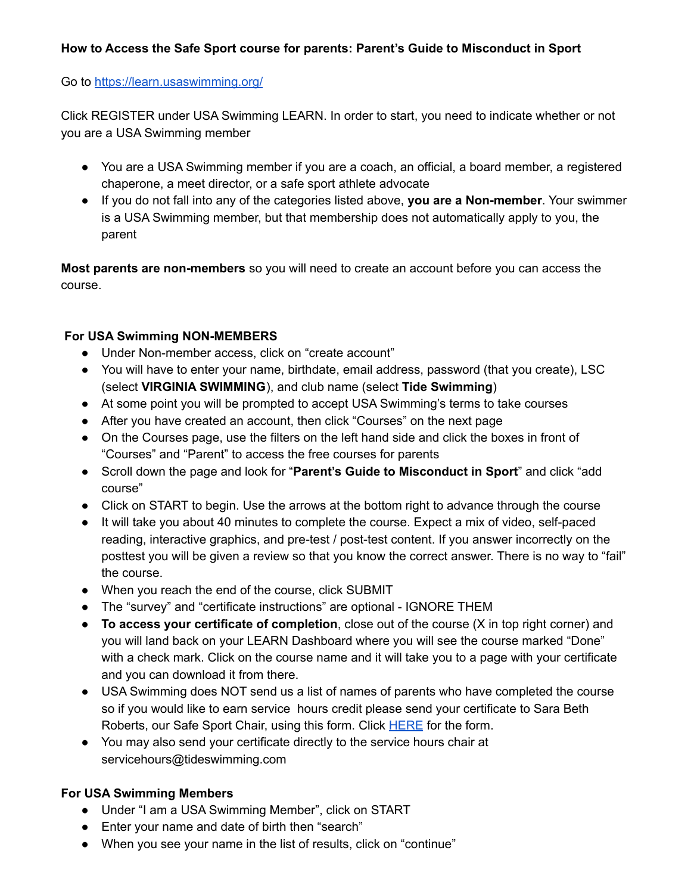## **How to Access the Safe Sport course for parents: Parent's Guide to Misconduct in Sport**

Go to <https://learn.usaswimming.org/>

Click REGISTER under USA Swimming LEARN. In order to start, you need to indicate whether or not you are a USA Swimming member

- You are a USA Swimming member if you are a coach, an official, a board member, a registered chaperone, a meet director, or a safe sport athlete advocate
- If you do not fall into any of the categories listed above, **you are a Non-member**. Your swimmer is a USA Swimming member, but that membership does not automatically apply to you, the parent

**Most parents are non-members** so you will need to create an account before you can access the course.

## **For USA Swimming NON-MEMBERS**

- Under Non-member access, click on "create account"
- You will have to enter your name, birthdate, email address, password (that you create), LSC (select **VIRGINIA SWIMMING**), and club name (select **Tide Swimming**)
- At some point you will be prompted to accept USA Swimming's terms to take courses
- After you have created an account, then click "Courses" on the next page
- On the Courses page, use the filters on the left hand side and click the boxes in front of "Courses" and "Parent" to access the free courses for parents
- Scroll down the page and look for "**Parent's Guide to Misconduct in Sport**" and click "add course"
- Click on START to begin. Use the arrows at the bottom right to advance through the course
- It will take you about 40 minutes to complete the course. Expect a mix of video, self-paced reading, interactive graphics, and pre-test / post-test content. If you answer incorrectly on the posttest you will be given a review so that you know the correct answer. There is no way to "fail" the course.
- When you reach the end of the course, click SUBMIT
- The "survey" and "certificate instructions" are optional IGNORE THEM
- **To access your certificate of completion**, close out of the course (X in top right corner) and you will land back on your LEARN Dashboard where you will see the course marked "Done" with a check mark. Click on the course name and it will take you to a page with your certificate and you can download it from there.
- USA Swimming does NOT send us a list of names of parents who have completed the course so if you would like to earn service hours credit please send your certificate to Sara Beth Roberts, our Safe Sport Chair, using this form. Click **[HERE](https://docs.google.com/forms/d/e/1FAIpQLSdZ4VQvMz7K-vPCa8Jh1XTjEznh5O5k2buCCapINm5V_BBt2g/viewform)** for the form.
- You may also send your certificate directly to the service hours chair at servicehours@tideswimming.com

## **For USA Swimming Members**

- Under "I am a USA Swimming Member", click on START
- Enter your name and date of birth then "search"
- When you see your name in the list of results, click on "continue"